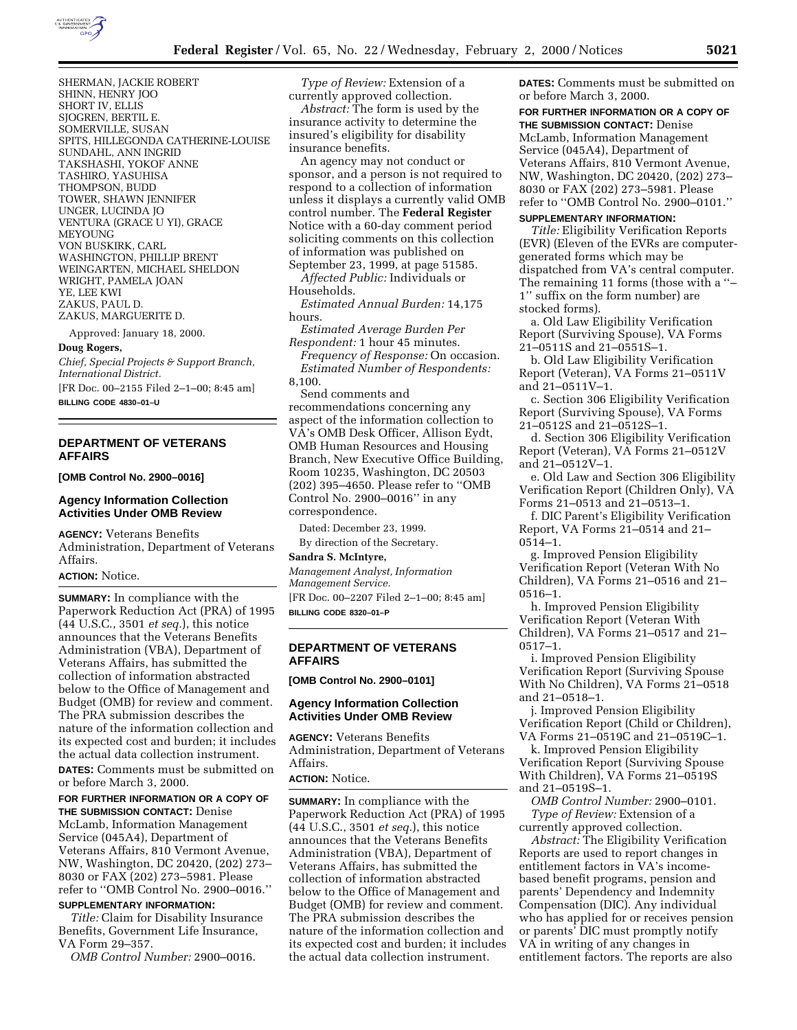

SHERMAN, JACKIE ROBERT SHINN, HENRY JOO SHORT IV, ELLIS SJOGREN, BERTIL E. SOMERVILLE, SUSAN SPITS, HILLEGONDA CATHERINE-LOUISE SUNDAHL, ANN INGRID TAKSHASHI, YOKOF ANNE TASHIRO, YASUHISA THOMPSON, BUDD TOWER, SHAWN JENNIFER UNGER, LUCINDA JO VENTURA (GRACE U YI), GRACE MEYOUNG VON BUSKIRK, CARL WASHINGTON, PHILLIP BRENT WEINGARTEN, MICHAEL SHELDON WRIGHT, PAMELA JOAN YE, LEE KWI ZAKUS, PAUL D. ZAKUS, MARGUERITE D.

Approved: January 18, 2000.

#### **Doug Rogers,**

*Chief, Special Projects & Support Branch, International District.*

[FR Doc. 00–2155 Filed 2–1–00; 8:45 am] **BILLING CODE 4830–01–U**

# **DEPARTMENT OF VETERANS AFFAIRS**

**[OMB Control No. 2900–0016]**

### **Agency Information Collection Activities Under OMB Review**

**AGENCY:** Veterans Benefits Administration, Department of Veterans Affairs.

#### **ACTION:** Notice.

**SUMMARY:** In compliance with the Paperwork Reduction Act (PRA) of 1995 (44 U.S.C., 3501 *et seq.*), this notice announces that the Veterans Benefits Administration (VBA), Department of Veterans Affairs, has submitted the collection of information abstracted below to the Office of Management and Budget (OMB) for review and comment. The PRA submission describes the nature of the information collection and its expected cost and burden; it includes the actual data collection instrument.

**DATES:** Comments must be submitted on or before March 3, 2000.

#### **FOR FURTHER INFORMATION OR A COPY OF THE SUBMISSION CONTACT:** Denise

McLamb, Information Management Service (045A4), Department of Veterans Affairs, 810 Vermont Avenue, NW, Washington, DC 20420, (202) 273– 8030 or FAX (202) 273–5981. Please refer to ''OMB Control No. 2900–0016.''

# **SUPPLEMENTARY INFORMATION:**

*Title:* Claim for Disability Insurance Benefits, Government Life Insurance, VA Form 29–357.

*OMB Control Number:* 2900–0016.

*Type of Review:* Extension of a currently approved collection.

*Abstract:* The form is used by the insurance activity to determine the insured's eligibility for disability insurance benefits.

An agency may not conduct or sponsor, and a person is not required to respond to a collection of information unless it displays a currently valid OMB control number. The **Federal Register** Notice with a 60-day comment period soliciting comments on this collection of information was published on

September 23, 1999, at page 51585. *Affected Public:* Individuals or Households.

*Estimated Annual Burden:* 14,175 hours.

*Estimated Average Burden Per Respondent:* 1 hour 45 minutes.

*Frequency of Response:* On occasion. *Estimated Number of Respondents:* 8,100.

Send comments and recommendations concerning any aspect of the information collection to

VA's OMB Desk Officer, Allison Eydt, OMB Human Resources and Housing Branch, New Executive Office Building, Room 10235, Washington, DC 20503 (202) 395–4650. Please refer to ''OMB Control No. 2900–0016'' in any correspondence.

Dated: December 23, 1999. By direction of the Secretary.

### **Sandra S. McIntyre,**

*Management Analyst, Information Management Service.* [FR Doc. 00–2207 Filed 2–1–00; 8:45 am] **BILLING CODE 8320–01–P**

# **DEPARTMENT OF VETERANS**

**AFFAIRS**

# **[OMB Control No. 2900–0101]**

# **Agency Information Collection Activities Under OMB Review**

**AGENCY:** Veterans Benefits Administration, Department of Veterans Affairs.

### **ACTION:** Notice.

**SUMMARY:** In compliance with the Paperwork Reduction Act (PRA) of 1995 (44 U.S.C., 3501 *et seq.*), this notice announces that the Veterans Benefits Administration (VBA), Department of Veterans Affairs, has submitted the collection of information abstracted below to the Office of Management and Budget (OMB) for review and comment. The PRA submission describes the nature of the information collection and its expected cost and burden; it includes the actual data collection instrument.

**DATES:** Comments must be submitted on or before March 3, 2000.

**FOR FURTHER INFORMATION OR A COPY OF THE SUBMISSION CONTACT:** Denise McLamb, Information Management Service (045A4), Department of Veterans Affairs, 810 Vermont Avenue, NW, Washington, DC 20420, (202) 273– 8030 or FAX (202) 273–5981. Please refer to ''OMB Control No. 2900–0101.''

# **SUPPLEMENTARY INFORMATION:**

*Title:* Eligibility Verification Reports (EVR) (Eleven of the EVRs are computergenerated forms which may be dispatched from VA's central computer. The remaining 11 forms (those with a ''– 1'' suffix on the form number) are stocked forms).

a. Old Law Eligibility Verification Report (Surviving Spouse), VA Forms 21–0511S and 21–0551S–1.

b. Old Law Eligibility Verification Report (Veteran), VA Forms 21–0511V and 21–0511V–1.

c. Section 306 Eligibility Verification Report (Surviving Spouse), VA Forms 21–0512S and 21–0512S–1.

d. Section 306 Eligibility Verification Report (Veteran), VA Forms 21–0512V and 21–0512V–1.

e. Old Law and Section 306 Eligibility Verification Report (Children Only), VA Forms 21–0513 and 21–0513–1.

f. DIC Parent's Eligibility Verification Report, VA Forms 21–0514 and 21– 0514–1.

g. Improved Pension Eligibility Verification Report (Veteran With No Children), VA Forms 21–0516 and 21– 0516–1.

h. Improved Pension Eligibility Verification Report (Veteran With Children), VA Forms 21–0517 and 21– 0517–1.

i. Improved Pension Eligibility Verification Report (Surviving Spouse With No Children), VA Forms 21–0518 and 21–0518–1.

j. Improved Pension Eligibility Verification Report (Child or Children), VA Forms 21–0519C and 21–0519C–1.

k. Improved Pension Eligibility Verification Report (Surviving Spouse With Children), VA Forms 21–0519S and 21–0519S–1.

*OMB Control Number:* 2900–0101. *Type of Review:* Extension of a currently approved collection.

*Abstract:* The Eligibility Verification Reports are used to report changes in entitlement factors in VA's incomebased benefit programs, pension and parents' Dependency and Indemnity Compensation (DIC). Any individual who has applied for or receives pension or parents' DIC must promptly notify VA in writing of any changes in entitlement factors. The reports are also